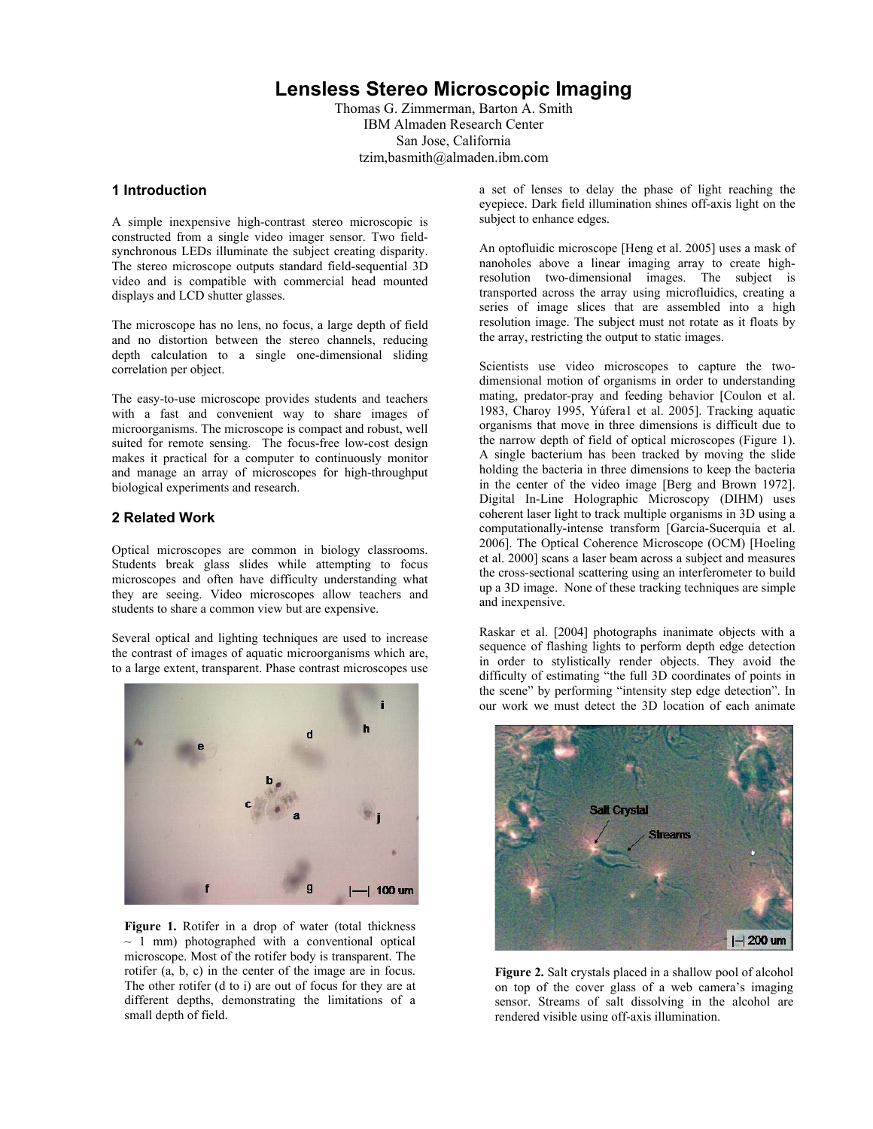# **Lensless Stereo Microscopic Imaging**

Thomas G. Zimmerman, Barton A. Smith IBM Almaden Research Center San Jose, California tzim,basmith@almaden.ibm.com

#### **1 Introduction**

A simple inexpensive high-contrast stereo microscopic is constructed from a single video imager sensor. Two fieldsynchronous LEDs illuminate the subject creating disparity. The stereo microscope outputs standard field-sequential 3D video and is compatible with commercial head mounted displays and LCD shutter glasses.

The microscope has no lens, no focus, a large depth of field and no distortion between the stereo channels, reducing depth calculation to a single one-dimensional sliding correlation per object.

The easy-to-use microscope provides students and teachers with a fast and convenient way to share images of microorganisms. The microscope is compact and robust, well suited for remote sensing. The focus-free low-cost design makes it practical for a computer to continuously monitor and manage an array of microscopes for high-throughput biological experiments and research.

# **2 Related Work**

Optical microscopes are common in biology classrooms. Students break glass slides while attempting to focus microscopes and often have difficulty understanding what they are seeing. Video microscopes allow teachers and students to share a common view but are expensive.

Several optical and lighting techniques are used to increase the contrast of images of aquatic microorganisms which are, to a large extent, transparent. Phase contrast microscopes use



Figure 1. Rotifer in a drop of water (total thickness  $\sim$  1 mm) photographed with a conventional optical microscope. Most of the rotifer body is transparent. The rotifer (a, b, c) in the center of the image are in focus. The other rotifer (d to i) are out of focus for they are at different depths, demonstrating the limitations of a small depth of field.

a set of lenses to delay the phase of light reaching the eyepiece. Dark field illumination shines off-axis light on the subject to enhance edges.

An optofluidic microscope [Heng et al. 2005] uses a mask of nanoholes above a linear imaging array to create highresolution two-dimensional images. The subject is transported across the array using microfluidics, creating a series of image slices that are assembled into a high resolution image. The subject must not rotate as it floats by the array, restricting the output to static images.

Scientists use video microscopes to capture the twodimensional motion of organisms in order to understanding mating, predator-pray and feeding behavior [Coulon et al. 1983, Charoy 1995, Yúfera1 et al. 2005]. Tracking aquatic organisms that move in three dimensions is difficult due to the narrow depth of field of optical microscopes (Figure 1). A single bacterium has been tracked by moving the slide holding the bacteria in three dimensions to keep the bacteria in the center of the video image [Berg and Brown 1972]. Digital In-Line Holographic Microscopy (DIHM) uses coherent laser light to track multiple organisms in 3D using a computationally-intense transform [Garcia-Sucerquia et al. 2006]. The Optical Coherence Microscope (OCM) [Hoeling et al. 2000] scans a laser beam across a subject and measures the cross-sectional scattering using an interferometer to build up a 3D image. None of these tracking techniques are simple and inexpensive.

Raskar et al. [2004] photographs inanimate objects with a sequence of flashing lights to perform depth edge detection in order to stylistically render objects. They avoid the difficulty of estimating "the full 3D coordinates of points in the scene" by performing "intensity step edge detection". In our work we must detect the 3D location of each animate



**Figure 2.** Salt crystals placed in a shallow pool of alcohol on top of the cover glass of a web camera's imaging sensor. Streams of salt dissolving in the alcohol are rendered visible using off-axis illumination.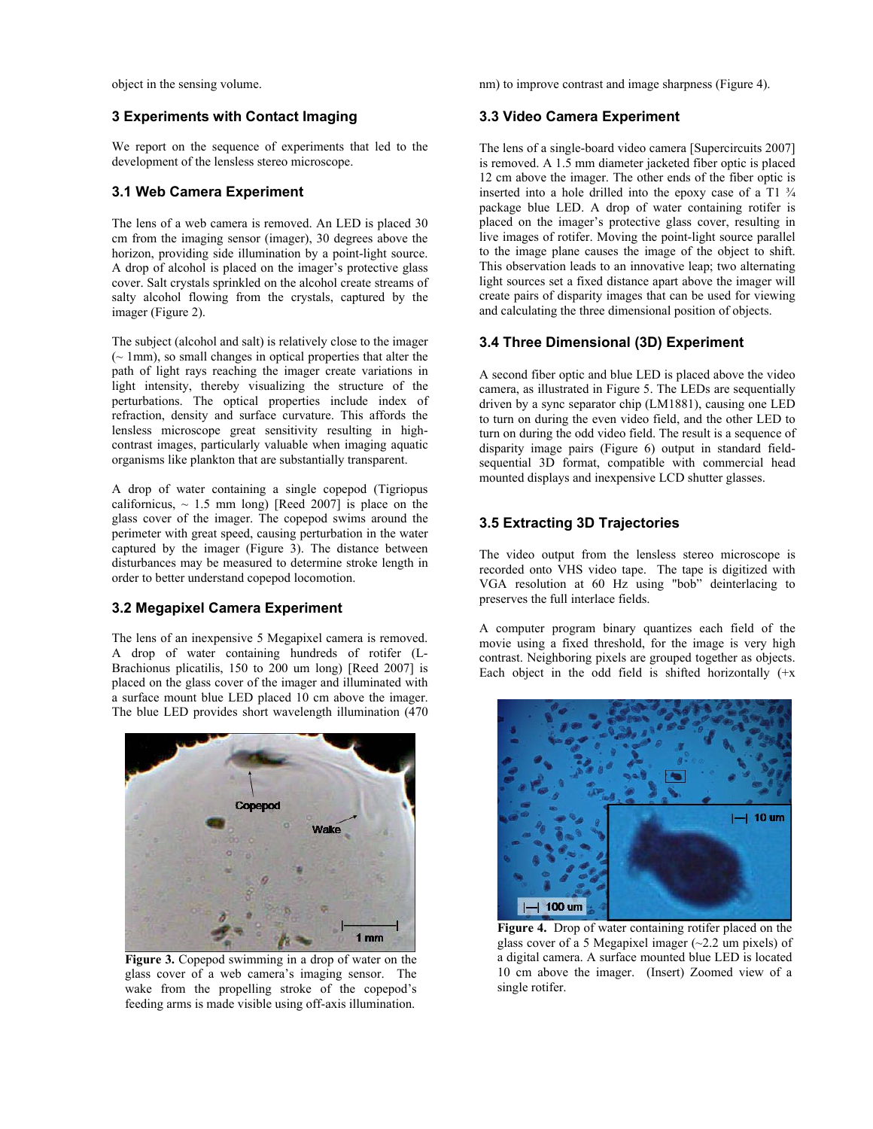object in the sensing volume.

### **3 Experiments with Contact Imaging**

We report on the sequence of experiments that led to the development of the lensless stereo microscope.

### **3.1 Web Camera Experiment**

The lens of a web camera is removed. An LED is placed 30 cm from the imaging sensor (imager), 30 degrees above the horizon, providing side illumination by a point-light source. A drop of alcohol is placed on the imager's protective glass cover. Salt crystals sprinkled on the alcohol create streams of salty alcohol flowing from the crystals, captured by the imager (Figure 2).

The subject (alcohol and salt) is relatively close to the imager (~ 1mm), so small changes in optical properties that alter the path of light rays reaching the imager create variations in light intensity, thereby visualizing the structure of the perturbations. The optical properties include index of refraction, density and surface curvature. This affords the lensless microscope great sensitivity resulting in highcontrast images, particularly valuable when imaging aquatic organisms like plankton that are substantially transparent.

A drop of water containing a single copepod (Tigriopus californicus,  $\sim$  1.5 mm long) [Reed 2007] is place on the glass cover of the imager. The copepod swims around the perimeter with great speed, causing perturbation in the water captured by the imager (Figure 3). The distance between disturbances may be measured to determine stroke length in order to better understand copepod locomotion.

## **3.2 Megapixel Camera Experiment**

The lens of an inexpensive 5 Megapixel camera is removed. A drop of water containing hundreds of rotifer (L-Brachionus plicatilis, 150 to 200 um long) [Reed 2007] is placed on the glass cover of the imager and illuminated with a surface mount blue LED placed 10 cm above the imager. The blue LED provides short wavelength illumination (470



**Figure 3.** Copepod swimming in a drop of water on the glass cover of a web camera's imaging sensor. The wake from the propelling stroke of the copepod's feeding arms is made visible using off-axis illumination.

nm) to improve contrast and image sharpness (Figure 4).

### **3.3 Video Camera Experiment**

The lens of a single-board video camera [Supercircuits 2007] is removed. A 1.5 mm diameter jacketed fiber optic is placed 12 cm above the imager. The other ends of the fiber optic is inserted into a hole drilled into the epoxy case of a T1 ¾ package blue LED. A drop of water containing rotifer is placed on the imager's protective glass cover, resulting in live images of rotifer. Moving the point-light source parallel to the image plane causes the image of the object to shift. This observation leads to an innovative leap; two alternating light sources set a fixed distance apart above the imager will create pairs of disparity images that can be used for viewing and calculating the three dimensional position of objects.

## **3.4 Three Dimensional (3D) Experiment**

A second fiber optic and blue LED is placed above the video camera, as illustrated in Figure 5. The LEDs are sequentially driven by a sync separator chip (LM1881), causing one LED to turn on during the even video field, and the other LED to turn on during the odd video field. The result is a sequence of disparity image pairs (Figure 6) output in standard fieldsequential 3D format, compatible with commercial head mounted displays and inexpensive LCD shutter glasses.

# **3.5 Extracting 3D Trajectories**

The video output from the lensless stereo microscope is recorded onto VHS video tape. The tape is digitized with VGA resolution at 60 Hz using "bob" deinterlacing to preserves the full interlace fields.

A computer program binary quantizes each field of the movie using a fixed threshold, for the image is very high contrast. Neighboring pixels are grouped together as objects. Each object in the odd field is shifted horizontally  $(+x)$ 



**Figure 4.** Drop of water containing rotifer placed on the glass cover of a 5 Megapixel imager  $(\sim 2.2 \text{ um pixels})$  of a digital camera. A surface mounted blue LED is located 10 cm above the imager. (Insert) Zoomed view of a single rotifer.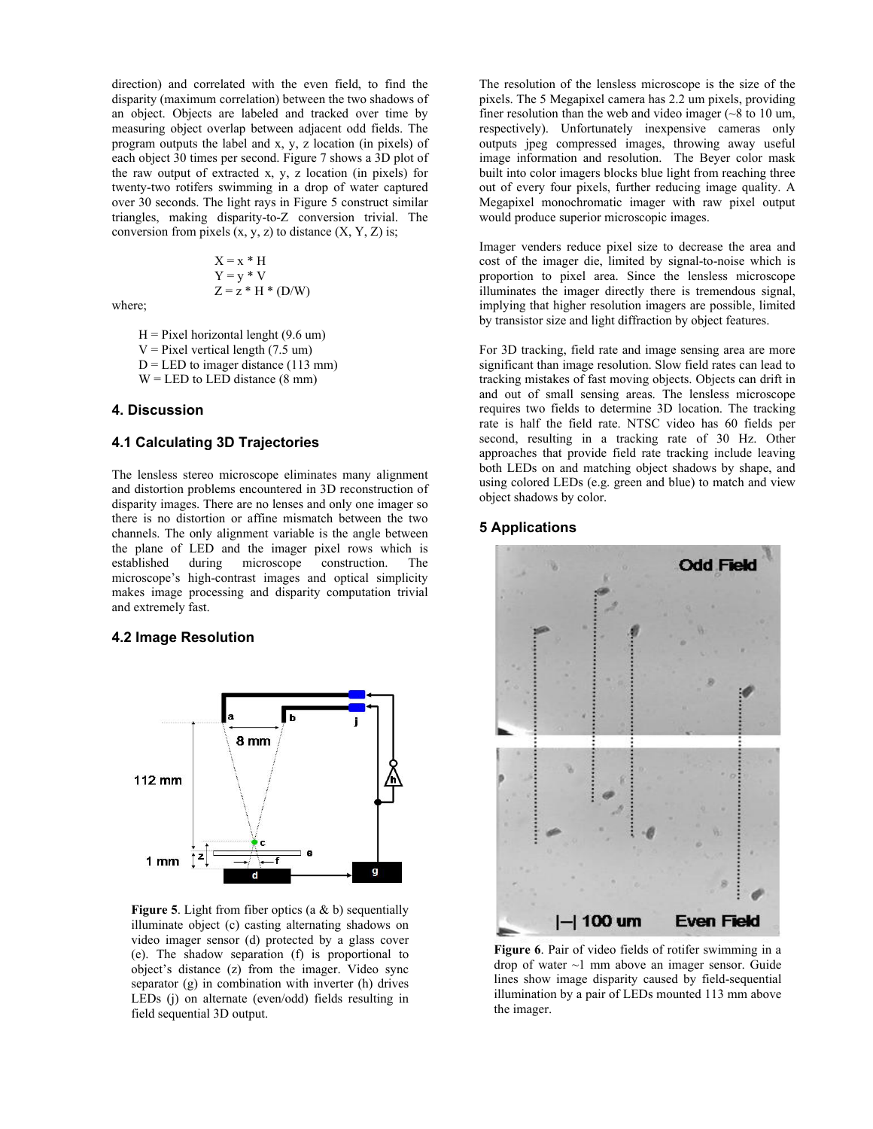direction) and correlated with the even field, to find the disparity (maximum correlation) between the two shadows of an object. Objects are labeled and tracked over time by measuring object overlap between adjacent odd fields. The program outputs the label and x, y, z location (in pixels) of each object 30 times per second. Figure 7 shows a 3D plot of the raw output of extracted x, y, z location (in pixels) for twenty-two rotifers swimming in a drop of water captured over 30 seconds. The light rays in Figure 5 construct similar triangles, making disparity-to-Z conversion trivial. The conversion from pixels  $(x, y, z)$  to distance  $(X, Y, Z)$  is;

$$
X = x * H
$$
  
 
$$
Y = y * V
$$
  
 
$$
Z = z * H * (D/W)
$$

where;

 $H =$  Pixel horizontal lenght (9.6 um)

 $V =$  Pixel vertical length (7.5 um)

$$
D =
$$
 LED to image distance (113 mm)

 $W = LED$  to LED distance (8 mm)

### **4. Discussion**

### **4.1 Calculating 3D Trajectories**

The lensless stereo microscope eliminates many alignment and distortion problems encountered in 3D reconstruction of disparity images. There are no lenses and only one imager so there is no distortion or affine mismatch between the two channels. The only alignment variable is the angle between the plane of LED and the imager pixel rows which is established during microscope construction. The microscope's high-contrast images and optical simplicity makes image processing and disparity computation trivial and extremely fast.

#### **4.2 Image Resolution**



**Figure 5**. Light from fiber optics (a & b) sequentially illuminate object (c) casting alternating shadows on video imager sensor (d) protected by a glass cover (e). The shadow separation (f) is proportional to object's distance (z) from the imager. Video sync separator (g) in combination with inverter (h) drives LEDs (j) on alternate (even/odd) fields resulting in field sequential 3D output.

The resolution of the lensless microscope is the size of the pixels. The 5 Megapixel camera has 2.2 um pixels, providing finer resolution than the web and video imager  $(-8)$  to 10 um, respectively). Unfortunately inexpensive cameras only outputs jpeg compressed images, throwing away useful image information and resolution. The Beyer color mask built into color imagers blocks blue light from reaching three out of every four pixels, further reducing image quality. A Megapixel monochromatic imager with raw pixel output would produce superior microscopic images.

Imager venders reduce pixel size to decrease the area and cost of the imager die, limited by signal-to-noise which is proportion to pixel area. Since the lensless microscope illuminates the imager directly there is tremendous signal, implying that higher resolution imagers are possible, limited by transistor size and light diffraction by object features.

For 3D tracking, field rate and image sensing area are more significant than image resolution. Slow field rates can lead to tracking mistakes of fast moving objects. Objects can drift in and out of small sensing areas. The lensless microscope requires two fields to determine 3D location. The tracking rate is half the field rate. NTSC video has 60 fields per second, resulting in a tracking rate of 30 Hz. Other approaches that provide field rate tracking include leaving both LEDs on and matching object shadows by shape, and using colored LEDs (e.g. green and blue) to match and view object shadows by color.

## **5 Applications**



**Figure 6**. Pair of video fields of rotifer swimming in a drop of water ~1 mm above an imager sensor. Guide lines show image disparity caused by field-sequential illumination by a pair of LEDs mounted 113 mm above the imager.